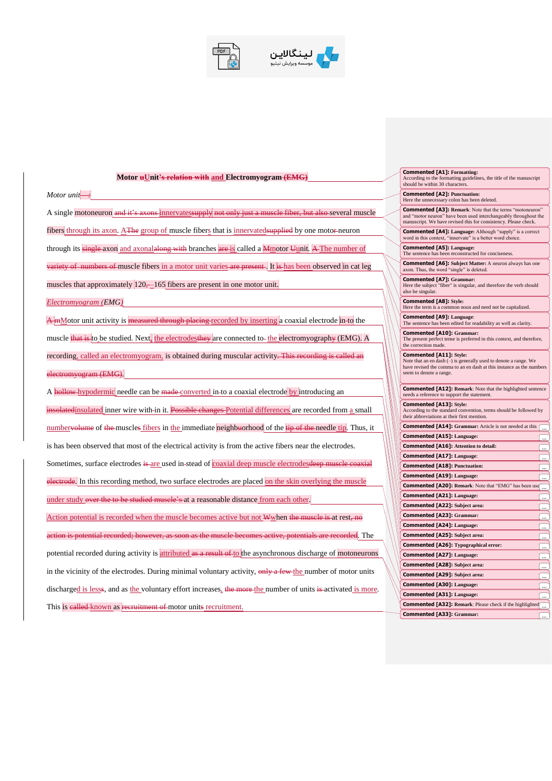



## **Motor uUnit's relation with and Electromyogram (EMG)** *Motor unit* :: A single motoneuron and it's axons innervates upply not only just a muscle fiber, but also several muscle fibers through its axon. AThe group of muscle fibers that is innervatedsupplied by one motor-neuron through its single axon and axonalalong with branches are is called a Mmotor Uunit. A The number of variety of numbers of muscle fibers in a motor unit varies are present. It is has been observed in cat leg muscles that approximately  $\left| 120, -165 \right|$  fibers are present in one motor unit. *Electromyogram (EMG)* A mMotor unit activity is **measured through placing** recorded by inserting a coaxial electrode in-to the muscle **that is to be studied.** Next, the electrodesthey are connected to-the electromyography (EMG). A recording, called an electromyogram, is obtained during muscular activity. This recording is called an electromyogram (EMG). A hollow hypodermic needle can be made converted in to a coaxial electrode by introducing an insolatedinsulated inner wire with-in it. Possible changes Potential differences are recorded from a small numbervolume of the muscles fibers in the immediate neighbuorhood of the tip of the needle tip. Thus, it is has been observed that most of the electrical activity is from the active fibers near the electrodes. Sometimes, surface electrodes is are used in stead of coaxial deep muscle electrodesdeep muscle coaxial electrode. In this recording method, two surface electrodes are placed on the skin overlying the muscle under study over the to be studied muscle's at a reasonable distance from each other. Action potential is recorded when the muscle becomes active but not Wwhen the muscle is at rest, no action is potential recorded; however, as soon as the muscle becomes active, potentials are recorded. The potential recorded during activity is attributed as a result of to the asynchronous discharge of motoneurons in the vicinity of the electrodes. During minimal voluntary activity, only a few the number of motor units discharged is lesss, and as the voluntary effort increases, the more the number of units is activated is more. This is ealled known as recruitment of motor units recruitment.

**Commented [A1]: Formatting:** According to the formatting guidelines, the title of the manuscript should be within 30 characters. **Commented [A2]: Punctuation:** Here the unnecessary colon has been deleted. **Commented [A3]: Remark**: Note that the terms "motoneuron" and "motor neuron" have been used interchangeably throughout the manuscript. We have revised this for consistency. Please check. **Commented [A4]: Language:** Although "supply" is a correct word in this context. "innervate" is a better word choice. ext, "innervate" is a better word choice. **Commented [A5]: Language:** The sentence has been reconstructed for conciseness. **Commented [A6]: Subject Matter:** A neuron always has one axon. Thus, the word "single" is deleted. **Commented [A7]: Grammar:** Here the subject "fiber" is singular, and therefore the verb should also be singular. **Commented [A8]:** Style:<br>Here the term is a common noun and need not be capitalized. **Commented [A9]: Language**: The sentence has been edited for readability as well as clarity. **Commented [A10]:** Grammar:<br>The present perfect tense is preferred in this context, and therefore, the correction made. **Commented [A11]: Style:**  Note that an en dash (–) is generally used to denote a range. We have revised the comma to an en dash at this instance as the numbers seem to denote a range. **Commented [A12]: Remark**: Note that the highlighted sentence support the statement. **Commented [A13]: Style:** According to the standard convention, terms should be followed by their abbreviations at their first mention. **Commented [A14]:** Grammar: Article is not needed at this  $\boxed{...}$ **Commented [A15]: Language:** ... **Commented [A16]: Attention to detail:** ... **Commented [A17]: Language**:  $\sqrt{2}$ **Commented [A18]: Punctuation:** ... **Commented [A19]: Language:** ... **Commented [A20]: Remark: Note that "EMG" has been use ... Commented [A21]: Language:** ... **Commented [A22]: Subject area:** ... **Commented [A23]: Grammar:** <u>्</u> **Commented [A24]: Language:** ... **Commented [A25]: Subject area:** ... **Commented [A26]: Typographical error:** ... **Commented [A27]: Language:** ... **Commented [A28]: Subject area:** <u>.</u> **Commented [A29]: Subject area:** ... **Commented [A30]: Language:**  $\sqrt{2}$ **Commented [A31]: Language:** ... **Commented [A32]: Remark**: Please check if the highlighted ... **Commented [A33]: Grammar:** ...